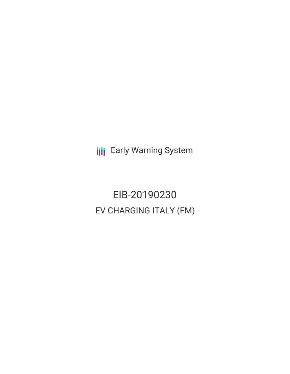**III** Early Warning System

EIB-20190230 EV CHARGING ITALY (FM)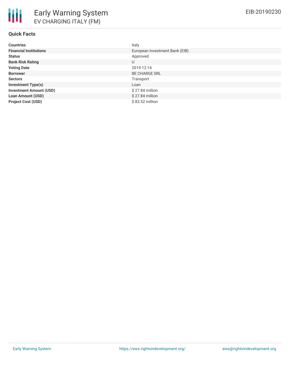## **Quick Facts**

| <b>Countries</b>               | Italy                          |
|--------------------------------|--------------------------------|
| <b>Financial Institutions</b>  | European Investment Bank (EIB) |
| <b>Status</b>                  | Approved                       |
| <b>Bank Risk Rating</b>        | U                              |
| <b>Voting Date</b>             | 2019-12-16                     |
| <b>Borrower</b>                | <b>BE CHARGE SRL</b>           |
| <b>Sectors</b>                 | Transport                      |
| <b>Investment Type(s)</b>      | Loan                           |
| <b>Investment Amount (USD)</b> | \$27.84 million                |
| <b>Loan Amount (USD)</b>       | $$27.84$ million               |
| <b>Project Cost (USD)</b>      | \$83.52 million                |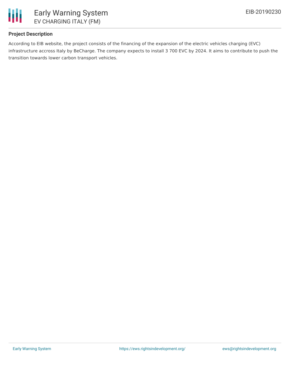

### **Project Description**

According to EIB website, the project consists of the financing of the expansion of the electric vehicles charging (EVC) infrastructure accross Italy by BeCharge. The company expects to install 3 700 EVC by 2024. It aims to contribute to push the transition towards lower carbon transport vehicles.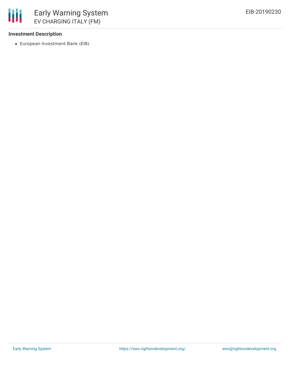

### **Investment Description**

European Investment Bank (EIB)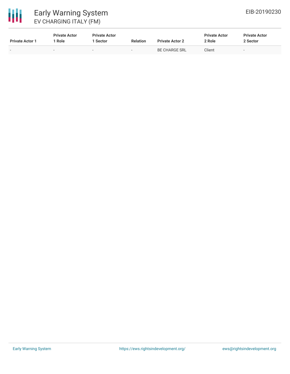

# Early Warning System EV CHARGING ITALY (FM)

| <b>Private Actor 1</b> | <b>Private Actor</b><br>Role | <b>Private Actor</b><br>1 Sector | <b>Relation</b> | <b>Private Actor 2</b> | <b>Private Actor</b><br>2 Role | <b>Private Actor</b><br>2 Sector |
|------------------------|------------------------------|----------------------------------|-----------------|------------------------|--------------------------------|----------------------------------|
|                        | -                            | -                                | $\sim$          | <b>BE CHARGE SRL</b>   | Client                         | $\sim$                           |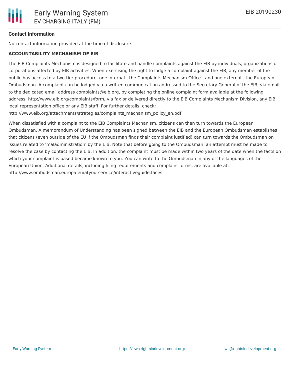### **Contact Information**

No contact information provided at the time of disclosure.

#### **ACCOUNTABILITY MECHANISM OF EIB**

The EIB Complaints Mechanism is designed to facilitate and handle complaints against the EIB by individuals, organizations or corporations affected by EIB activities. When exercising the right to lodge a complaint against the EIB, any member of the public has access to a two-tier procedure, one internal - the Complaints Mechanism Office - and one external - the European Ombudsman. A complaint can be lodged via a written communication addressed to the Secretary General of the EIB, via email to the dedicated email address complaints@eib.org, by completing the online complaint form available at the following address: http://www.eib.org/complaints/form, via fax or delivered directly to the EIB Complaints Mechanism Division, any EIB local representation office or any EIB staff. For further details, check:

http://www.eib.org/attachments/strategies/complaints\_mechanism\_policy\_en.pdf

When dissatisfied with a complaint to the EIB Complaints Mechanism, citizens can then turn towards the European Ombudsman. A memorandum of Understanding has been signed between the EIB and the European Ombudsman establishes that citizens (even outside of the EU if the Ombudsman finds their complaint justified) can turn towards the Ombudsman on issues related to 'maladministration' by the EIB. Note that before going to the Ombudsman, an attempt must be made to resolve the case by contacting the EIB. In addition, the complaint must be made within two years of the date when the facts on which your complaint is based became known to you. You can write to the Ombudsman in any of the languages of the European Union. Additional details, including filing requirements and complaint forms, are available at: http://www.ombudsman.europa.eu/atyourservice/interactiveguide.faces